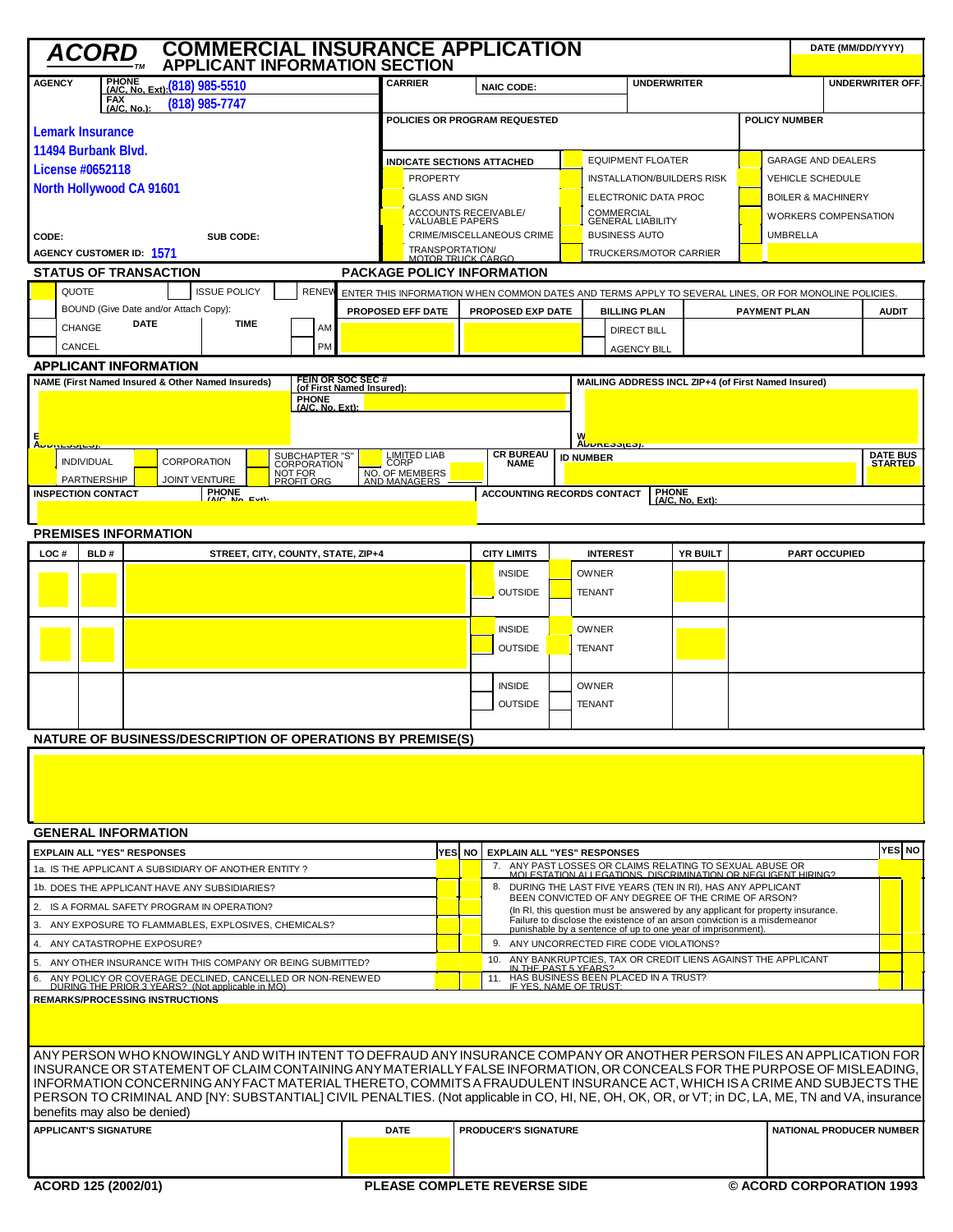| <b>COMMERCIAL INSURANCE APPLICATION</b><br>DATE (MM/DD/YYYY)<br><b>ACORD</b><br><b>APPLICANT INFORMATION SECTION</b>                                                                                                                                                       |                                        |             |                                                                   |                                          |                                               |                                                                                                            |                                                                                                                                                              |                                                                                                                          |                                                                 |                                 |                                                                                                                      |                                                       |                          |                 |  |                               |                                   |         |
|----------------------------------------------------------------------------------------------------------------------------------------------------------------------------------------------------------------------------------------------------------------------------|----------------------------------------|-------------|-------------------------------------------------------------------|------------------------------------------|-----------------------------------------------|------------------------------------------------------------------------------------------------------------|--------------------------------------------------------------------------------------------------------------------------------------------------------------|--------------------------------------------------------------------------------------------------------------------------|-----------------------------------------------------------------|---------------------------------|----------------------------------------------------------------------------------------------------------------------|-------------------------------------------------------|--------------------------|-----------------|--|-------------------------------|-----------------------------------|---------|
| <b>AGENCY</b><br>PHONE (A/C, No. Ext): (818) 985-5510<br><b>FAX</b><br>$(818)$ 985-7747                                                                                                                                                                                    |                                        |             |                                                                   |                                          |                                               | <b>CARRIER</b><br><b>NAIC CODE:</b>                                                                        |                                                                                                                                                              |                                                                                                                          |                                                                 |                                 |                                                                                                                      | <b>UNDERWRITER</b><br><b>UNDERWRITER OFF.</b>         |                          |                 |  |                               |                                   |         |
| (A/C. No.):                                                                                                                                                                                                                                                                |                                        |             |                                                                   |                                          |                                               | POLICIES OR PROGRAM REQUESTED                                                                              |                                                                                                                                                              |                                                                                                                          |                                                                 |                                 |                                                                                                                      | <b>POLICY NUMBER</b>                                  |                          |                 |  |                               |                                   |         |
| Lemark Insurance                                                                                                                                                                                                                                                           |                                        |             |                                                                   |                                          |                                               |                                                                                                            |                                                                                                                                                              |                                                                                                                          |                                                                 |                                 |                                                                                                                      |                                                       |                          |                 |  |                               |                                   |         |
| 11494 Burbank Blvd.                                                                                                                                                                                                                                                        |                                        |             |                                                                   |                                          |                                               | <b>INDICATE SECTIONS ATTACHED</b>                                                                          |                                                                                                                                                              |                                                                                                                          |                                                                 |                                 |                                                                                                                      | <b>EQUIPMENT FLOATER</b><br><b>GARAGE AND DEALERS</b> |                          |                 |  |                               |                                   |         |
| License #0652118<br>North Hollywood CA 91601                                                                                                                                                                                                                               |                                        |             |                                                                   |                                          |                                               | <b>PROPERTY</b>                                                                                            |                                                                                                                                                              |                                                                                                                          |                                                                 |                                 | <b>INSTALLATION/BUILDERS RISK</b><br><b>VEHICLE SCHEDULE</b>                                                         |                                                       |                          |                 |  |                               |                                   |         |
|                                                                                                                                                                                                                                                                            |                                        |             |                                                                   |                                          |                                               |                                                                                                            | <b>GLASS AND SIGN</b>                                                                                                                                        |                                                                                                                          |                                                                 |                                 |                                                                                                                      | ELECTRONIC DATA PROC                                  |                          |                 |  | <b>BOILER &amp; MACHINERY</b> |                                   |         |
|                                                                                                                                                                                                                                                                            |                                        |             |                                                                   |                                          |                                               | ACCOUNTS RECEIVABLE/<br>VALUABLE PAPERS                                                                    |                                                                                                                                                              |                                                                                                                          |                                                                 | COMMERCIAL<br>GENERAL LIABILITY | <b>WORKERS COMPENSATION</b>                                                                                          |                                                       |                          |                 |  |                               |                                   |         |
| CODE:<br>SUB CODE:                                                                                                                                                                                                                                                         |                                        |             |                                                                   |                                          |                                               |                                                                                                            | CRIME/MISCELLANEOUS CRIME<br><b>BUSINESS AUTO</b>                                                                                                            |                                                                                                                          |                                                                 |                                 |                                                                                                                      |                                                       |                          | <b>UMBRELLA</b> |  |                               |                                   |         |
| AGENCY CUSTOMER ID: 1571                                                                                                                                                                                                                                                   |                                        |             |                                                                   |                                          |                                               | TRANSPORTATION/<br>MOTOR TRUCK CARGO<br><b>TRUCKERS/MOTOR CARRIER</b><br><b>PACKAGE POLICY INFORMATION</b> |                                                                                                                                                              |                                                                                                                          |                                                                 |                                 |                                                                                                                      |                                                       |                          |                 |  |                               |                                   |         |
| <b>STATUS OF TRANSACTION</b>                                                                                                                                                                                                                                               |                                        |             |                                                                   |                                          |                                               |                                                                                                            |                                                                                                                                                              |                                                                                                                          |                                                                 |                                 | ENTER THIS INFORMATION WHEN COMMON DATES AND TERMS APPLY TO SEVERAL LINES, OR FOR MONOLINE POLICIES.                 |                                                       |                          |                 |  |                               |                                   |         |
| <b>ISSUE POLICY</b><br>QUOTE<br><b>RENEV</b><br>BOUND (Give Date and/or Attach Copy):                                                                                                                                                                                      |                                        |             |                                                                   |                                          |                                               | PROPOSED EXP DATE<br>PROPOSED EFF DATE                                                                     |                                                                                                                                                              |                                                                                                                          |                                                                 |                                 | <b>BILLING PLAN</b><br><b>PAYMENT PLAN</b>                                                                           |                                                       |                          |                 |  |                               | <b>AUDIT</b>                      |         |
| CHANGE                                                                                                                                                                                                                                                                     |                                        | <b>DATE</b> | <b>TIME</b>                                                       | AM                                       |                                               |                                                                                                            |                                                                                                                                                              |                                                                                                                          |                                                                 | <b>DIRECT BILL</b>              |                                                                                                                      |                                                       |                          |                 |  |                               |                                   |         |
| CANCEL                                                                                                                                                                                                                                                                     |                                        |             |                                                                   | PM                                       |                                               |                                                                                                            |                                                                                                                                                              |                                                                                                                          |                                                                 |                                 | <b>AGENCY BILL</b>                                                                                                   |                                                       |                          |                 |  |                               |                                   |         |
| <b>APPLICANT INFORMATION</b>                                                                                                                                                                                                                                               |                                        |             |                                                                   |                                          |                                               |                                                                                                            |                                                                                                                                                              |                                                                                                                          |                                                                 |                                 |                                                                                                                      |                                                       |                          |                 |  |                               |                                   |         |
|                                                                                                                                                                                                                                                                            |                                        |             | NAME (First Named Insured & Other Named Insureds)                 |                                          | FEIN OR SOC SEC#<br>(of First Named Insured): |                                                                                                            |                                                                                                                                                              |                                                                                                                          |                                                                 |                                 |                                                                                                                      | MAILING ADDRESS INCL ZIP+4 (of First Named Insured)   |                          |                 |  |                               |                                   |         |
|                                                                                                                                                                                                                                                                            |                                        |             |                                                                   | <b>PHONE</b><br>(A/C. No. Ext):          |                                               |                                                                                                            |                                                                                                                                                              |                                                                                                                          |                                                                 |                                 |                                                                                                                      |                                                       |                          |                 |  |                               |                                   |         |
|                                                                                                                                                                                                                                                                            |                                        |             |                                                                   |                                          |                                               |                                                                                                            |                                                                                                                                                              |                                                                                                                          |                                                                 |                                 |                                                                                                                      |                                                       |                          |                 |  |                               |                                   |         |
| в<br><u>L Auuncaaica</u>                                                                                                                                                                                                                                                   |                                        |             |                                                                   |                                          |                                               |                                                                                                            |                                                                                                                                                              |                                                                                                                          | <b>CR BUREAU</b>                                                |                                 | W<br><u>Αυυκεσσιεσμ</u>                                                                                              |                                                       |                          |                 |  |                               |                                   |         |
| <b>INDIVIDUAL</b>                                                                                                                                                                                                                                                          |                                        |             | <b>CORPORATION</b>                                                | SUBCHAPTER "S"<br>CORPORATION<br>NOT FOR |                                               | <b>LIMITED LIAB</b><br>CORP                                                                                |                                                                                                                                                              |                                                                                                                          | <b>NAME</b>                                                     |                                 | <b>ID NUMBER</b>                                                                                                     |                                                       |                          |                 |  |                               | <b>DATE BUS</b><br><b>STARTED</b> |         |
| <b>PARTNERSHIP</b><br><b>INSPECTION CONTACT</b>                                                                                                                                                                                                                            |                                        |             | <b>JOINT VENTURE</b><br>PHONE<br>(A/C No Ext)                     | PROFIT ORG                               |                                               | NO. OF MEMBERS<br>AND MANAGERS                                                                             |                                                                                                                                                              |                                                                                                                          |                                                                 |                                 |                                                                                                                      | <b>PHONE</b>                                          |                          |                 |  |                               |                                   |         |
|                                                                                                                                                                                                                                                                            |                                        |             |                                                                   |                                          |                                               |                                                                                                            | <b>ACCOUNTING RECORDS CONTACT</b><br>$(AC, No, Ext)$ :                                                                                                       |                                                                                                                          |                                                                 |                                 |                                                                                                                      |                                                       |                          |                 |  |                               |                                   |         |
| <b>PREMISES INFORMATION</b>                                                                                                                                                                                                                                                |                                        |             |                                                                   |                                          |                                               |                                                                                                            |                                                                                                                                                              |                                                                                                                          |                                                                 |                                 |                                                                                                                      |                                                       |                          |                 |  |                               |                                   |         |
| LOC#                                                                                                                                                                                                                                                                       | BLD#                                   |             |                                                                   | STREET, CITY, COUNTY, STATE, ZIP+4       |                                               |                                                                                                            |                                                                                                                                                              |                                                                                                                          | <b>CITY LIMITS</b>                                              |                                 | <b>INTEREST</b>                                                                                                      | <b>YR BUILT</b>                                       |                          |                 |  | <b>PART OCCUPIED</b>          |                                   |         |
|                                                                                                                                                                                                                                                                            |                                        |             |                                                                   |                                          |                                               |                                                                                                            |                                                                                                                                                              |                                                                                                                          | <b>INSIDE</b>                                                   |                                 | <b>OWNER</b>                                                                                                         |                                                       |                          |                 |  |                               |                                   |         |
|                                                                                                                                                                                                                                                                            |                                        |             |                                                                   |                                          |                                               |                                                                                                            |                                                                                                                                                              |                                                                                                                          | <b>OUTSIDE</b>                                                  |                                 | <b>TENANT</b>                                                                                                        |                                                       |                          |                 |  |                               |                                   |         |
|                                                                                                                                                                                                                                                                            |                                        |             |                                                                   |                                          |                                               |                                                                                                            |                                                                                                                                                              |                                                                                                                          |                                                                 |                                 |                                                                                                                      |                                                       |                          |                 |  |                               |                                   |         |
|                                                                                                                                                                                                                                                                            |                                        |             |                                                                   |                                          |                                               |                                                                                                            |                                                                                                                                                              |                                                                                                                          | <b>INSIDE</b>                                                   |                                 | <b>OWNER</b>                                                                                                         |                                                       |                          |                 |  |                               |                                   |         |
|                                                                                                                                                                                                                                                                            |                                        |             |                                                                   |                                          |                                               |                                                                                                            |                                                                                                                                                              |                                                                                                                          | <b>OUTSIDE</b>                                                  |                                 | <b>TENANT</b>                                                                                                        |                                                       |                          |                 |  |                               |                                   |         |
|                                                                                                                                                                                                                                                                            |                                        |             |                                                                   |                                          |                                               |                                                                                                            |                                                                                                                                                              |                                                                                                                          |                                                                 |                                 |                                                                                                                      |                                                       |                          |                 |  |                               |                                   |         |
|                                                                                                                                                                                                                                                                            |                                        |             |                                                                   |                                          |                                               |                                                                                                            |                                                                                                                                                              |                                                                                                                          | <b>INSIDE</b>                                                   |                                 | <b>OWNER</b>                                                                                                         |                                                       |                          |                 |  |                               |                                   |         |
|                                                                                                                                                                                                                                                                            |                                        |             |                                                                   |                                          |                                               |                                                                                                            |                                                                                                                                                              |                                                                                                                          | <b>OUTSIDE</b>                                                  |                                 | <b>TENANT</b>                                                                                                        |                                                       |                          |                 |  |                               |                                   |         |
|                                                                                                                                                                                                                                                                            |                                        |             | <b>NATURE OF BUSINESS/DESCRIPTION OF OPERATIONS BY PREMISE(S)</b> |                                          |                                               |                                                                                                            |                                                                                                                                                              |                                                                                                                          |                                                                 |                                 |                                                                                                                      |                                                       |                          |                 |  |                               |                                   |         |
|                                                                                                                                                                                                                                                                            |                                        |             |                                                                   |                                          |                                               |                                                                                                            |                                                                                                                                                              |                                                                                                                          |                                                                 |                                 |                                                                                                                      |                                                       |                          |                 |  |                               |                                   |         |
|                                                                                                                                                                                                                                                                            |                                        |             |                                                                   |                                          |                                               |                                                                                                            |                                                                                                                                                              |                                                                                                                          |                                                                 |                                 |                                                                                                                      |                                                       |                          |                 |  |                               |                                   |         |
|                                                                                                                                                                                                                                                                            |                                        |             |                                                                   |                                          |                                               |                                                                                                            |                                                                                                                                                              |                                                                                                                          |                                                                 |                                 |                                                                                                                      |                                                       |                          |                 |  |                               |                                   |         |
|                                                                                                                                                                                                                                                                            |                                        |             |                                                                   |                                          |                                               |                                                                                                            |                                                                                                                                                              |                                                                                                                          |                                                                 |                                 |                                                                                                                      |                                                       |                          |                 |  |                               |                                   |         |
| <b>GENERAL INFORMATION</b>                                                                                                                                                                                                                                                 |                                        |             |                                                                   |                                          |                                               |                                                                                                            |                                                                                                                                                              |                                                                                                                          |                                                                 |                                 |                                                                                                                      |                                                       |                          |                 |  |                               |                                   |         |
| <b>EXPLAIN ALL "YES" RESPONSES</b>                                                                                                                                                                                                                                         |                                        |             |                                                                   |                                          |                                               |                                                                                                            |                                                                                                                                                              | YES NO EXPLAIN ALL "YES" RESPONSES                                                                                       |                                                                 |                                 |                                                                                                                      |                                                       |                          |                 |  |                               |                                   | YES∣ NO |
| 1a. IS THE APPLICANT A SUBSIDIARY OF ANOTHER ENTITY?                                                                                                                                                                                                                       |                                        |             |                                                                   |                                          |                                               |                                                                                                            |                                                                                                                                                              | 7. ANY PAST LOSSES OR CLAIMS RELATING TO SEXUAL ABUSE OR<br>MOLESTATION ALLEGATIONS, DISCRIMINATION OR NEGLIGENT HIRING? |                                                                 |                                 |                                                                                                                      |                                                       |                          |                 |  |                               |                                   |         |
| 1b. DOES THE APPLICANT HAVE ANY SUBSIDIARIES?                                                                                                                                                                                                                              |                                        |             |                                                                   |                                          |                                               |                                                                                                            |                                                                                                                                                              | 8. DURING THE LAST FIVE YEARS (TEN IN RI), HAS ANY APPLICANT<br>BEEN CONVICTED OF ANY DEGREE OF THE CRIME OF ARSON?      |                                                                 |                                 |                                                                                                                      |                                                       |                          |                 |  |                               |                                   |         |
| 2. IS A FORMAL SAFETY PROGRAM IN OPERATION?                                                                                                                                                                                                                                |                                        |             |                                                                   |                                          |                                               |                                                                                                            | (In RI, this question must be answered by any applicant for property insurance.<br>Failure to disclose the existence of an arson conviction is a misdemeanor |                                                                                                                          |                                                                 |                                 |                                                                                                                      |                                                       |                          |                 |  |                               |                                   |         |
| ANY EXPOSURE TO FLAMMABLES, EXPLOSIVES, CHEMICALS?<br>3.<br>ANY CATASTROPHE EXPOSURE?                                                                                                                                                                                      |                                        |             |                                                                   |                                          |                                               |                                                                                                            |                                                                                                                                                              | punishable by a sentence of up to one year of imprisonment).<br>9. ANY UNCORRECTED FIRE CODE VIOLATIONS?                 |                                                                 |                                 |                                                                                                                      |                                                       |                          |                 |  |                               |                                   |         |
| 4.<br>ANY OTHER INSURANCE WITH THIS COMPANY OR BEING SUBMITTED?<br>5.                                                                                                                                                                                                      |                                        |             |                                                                   |                                          |                                               |                                                                                                            |                                                                                                                                                              |                                                                                                                          | 10. ANY BANKRUPTCIES, TAX OR CREDIT LIENS AGAINST THE APPLICANT |                                 |                                                                                                                      |                                                       |                          |                 |  |                               |                                   |         |
| ANY POLICY OR COVERAGE DECLINED, CANCELLED OR NON-RENEWED<br>DURING THE PRIOR 3 YEARS? (Not applicable in MO)<br>6.                                                                                                                                                        |                                        |             |                                                                   |                                          |                                               |                                                                                                            |                                                                                                                                                              | IN THE PAST 5 YEAR:<br>11. HAS BUSINESS BEEN PLACED IN A TRUST?<br>IF YES, NAME OF TRUST:                                |                                                                 |                                 |                                                                                                                      |                                                       |                          |                 |  |                               |                                   |         |
|                                                                                                                                                                                                                                                                            | <b>REMARKS/PROCESSING INSTRUCTIONS</b> |             |                                                                   |                                          |                                               |                                                                                                            |                                                                                                                                                              |                                                                                                                          |                                                                 |                                 |                                                                                                                      |                                                       |                          |                 |  |                               |                                   |         |
|                                                                                                                                                                                                                                                                            |                                        |             |                                                                   |                                          |                                               |                                                                                                            |                                                                                                                                                              |                                                                                                                          |                                                                 |                                 |                                                                                                                      |                                                       |                          |                 |  |                               |                                   |         |
|                                                                                                                                                                                                                                                                            |                                        |             |                                                                   |                                          |                                               |                                                                                                            |                                                                                                                                                              |                                                                                                                          |                                                                 |                                 |                                                                                                                      |                                                       |                          |                 |  |                               |                                   |         |
|                                                                                                                                                                                                                                                                            |                                        |             |                                                                   |                                          |                                               |                                                                                                            |                                                                                                                                                              |                                                                                                                          |                                                                 |                                 | ANY PERSON WHO KNOWINGLY AND WITH INTENT TO DEFRAUD ANY INSURANCE COMPANY OR ANOTHER PERSON FILES AN APPLICATION FOR |                                                       |                          |                 |  |                               |                                   |         |
| INSURANCE OR STATEMENT OF CLAIM CONTAINING ANY MATERIALLY FALSE INFORMATION, OR CONCEALS FOR THE PURPOSE OF MISLEADING,                                                                                                                                                    |                                        |             |                                                                   |                                          |                                               |                                                                                                            |                                                                                                                                                              |                                                                                                                          |                                                                 |                                 |                                                                                                                      |                                                       |                          |                 |  |                               |                                   |         |
| INFORMATION CONCERNING ANY FACT MATERIAL THERETO, COMMITS A FRAUDULENT INSURANCE ACT, WHICH IS A CRIME AND SUBJECTS THE<br>PERSON TO CRIMINAL AND [NY: SUBSTANTIAL] CIVIL PENALTIES. (Not applicable in CO, HI, NE, OH, OK, OR, or VT; in DC, LA, ME, TN and VA, insurance |                                        |             |                                                                   |                                          |                                               |                                                                                                            |                                                                                                                                                              |                                                                                                                          |                                                                 |                                 |                                                                                                                      |                                                       |                          |                 |  |                               |                                   |         |
| benefits may also be denied)                                                                                                                                                                                                                                               |                                        |             |                                                                   |                                          |                                               |                                                                                                            |                                                                                                                                                              |                                                                                                                          |                                                                 |                                 |                                                                                                                      |                                                       |                          |                 |  |                               |                                   |         |
| <b>APPLICANT'S SIGNATURE</b>                                                                                                                                                                                                                                               |                                        |             |                                                                   |                                          |                                               | <b>DATE</b>                                                                                                | <b>PRODUCER'S SIGNATURE</b>                                                                                                                                  |                                                                                                                          |                                                                 |                                 |                                                                                                                      |                                                       | NATIONAL PRODUCER NUMBER |                 |  |                               |                                   |         |
|                                                                                                                                                                                                                                                                            |                                        |             |                                                                   |                                          |                                               |                                                                                                            |                                                                                                                                                              |                                                                                                                          |                                                                 |                                 |                                                                                                                      |                                                       |                          |                 |  |                               |                                   |         |
| ACORD 125 (2002/01)                                                                                                                                                                                                                                                        |                                        |             |                                                                   |                                          |                                               | <b>PLEASE COMPLETE REVERSE SIDE</b>                                                                        |                                                                                                                                                              |                                                                                                                          |                                                                 |                                 |                                                                                                                      | © ACORD CORPORATION 1993                              |                          |                 |  |                               |                                   |         |
|                                                                                                                                                                                                                                                                            |                                        |             |                                                                   |                                          |                                               |                                                                                                            |                                                                                                                                                              |                                                                                                                          |                                                                 |                                 |                                                                                                                      |                                                       |                          |                 |  |                               |                                   |         |